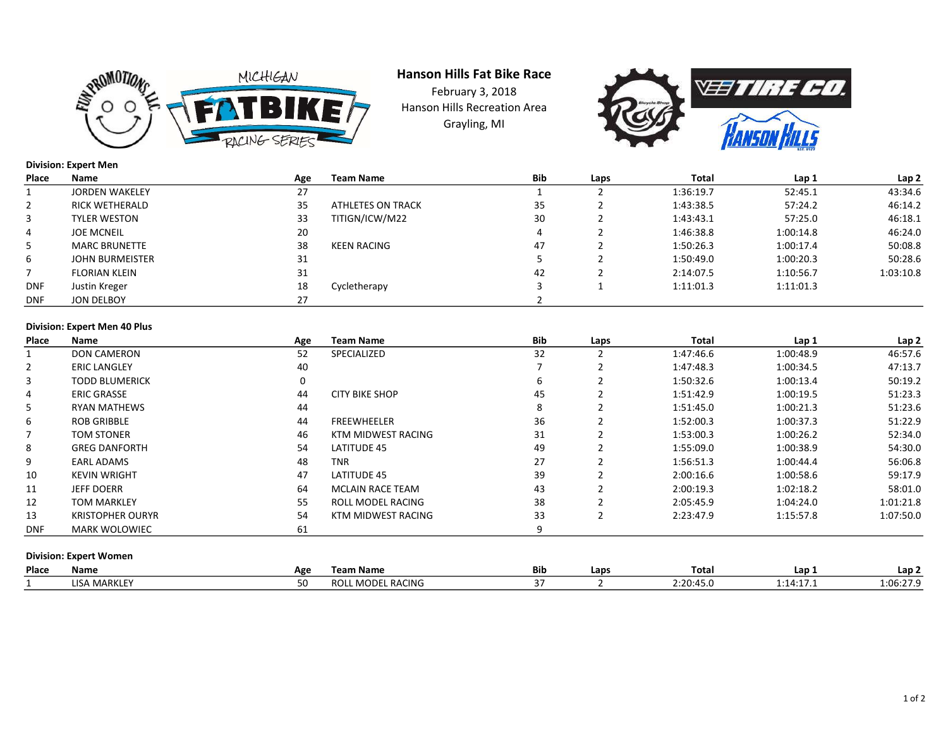

Grayling, MI Hanson Hills Fat Bike Race February 3, 2018 Hanson Hills Recreation Area



# Division: Expert Men

| Place      | Name                  | Age | Team Name         | <b>Bib</b> | Laps | Total     | Lap 1     | Lap <sub>2</sub> |
|------------|-----------------------|-----|-------------------|------------|------|-----------|-----------|------------------|
|            | <b>JORDEN WAKELEY</b> | 27  |                   |            |      | 1:36:19.7 | 52:45.1   | 43:34.6          |
| 2          | <b>RICK WETHERALD</b> | 35  | ATHLETES ON TRACK | 35         |      | 1:43:38.5 | 57:24.2   | 46:14.2          |
| 3          | <b>TYLER WESTON</b>   | 33  | TITIGN/ICW/M22    | 30         |      | 1:43:43.1 | 57:25.0   | 46:18.1          |
| 4          | <b>JOE MCNEIL</b>     | 20  |                   |            |      | 1:46:38.8 | 1:00:14.8 | 46:24.0          |
| 5          | <b>MARC BRUNETTE</b>  | 38  | KEEN RACING       | 47         |      | 1:50:26.3 | 1:00:17.4 | 50:08.8          |
| 6          | JOHN BURMEISTER       | 31  |                   |            |      | 1:50:49.0 | 1:00:20.3 | 50:28.6          |
|            | <b>FLORIAN KLEIN</b>  | 31  |                   | 42         |      | 2:14:07.5 | 1:10:56.7 | 1:03:10.8        |
| <b>DNF</b> | Justin Kreger         | 18  | Cycletherapy      |            |      | 1:11:01.3 | 1:11:01.3 |                  |
| <b>DNF</b> | JON DELBOY            | 27  |                   |            |      |           |           |                  |

# Division: Expert Men 40 Plus

| Place          | <b>Name</b>                   | Age      | <b>Team Name</b>        | Bib | Laps | Total     | Lap 1     | Lap 2     |
|----------------|-------------------------------|----------|-------------------------|-----|------|-----------|-----------|-----------|
| 1              | <b>DON CAMERON</b>            | 52       | SPECIALIZED             | 32  |      | 1:47:46.6 | 1:00:48.9 | 46:57.6   |
| $\overline{2}$ | <b>ERIC LANGLEY</b>           | 40       |                         |     |      | 1:47:48.3 | 1:00:34.5 | 47:13.7   |
| 3              | <b>TODD BLUMERICK</b>         | $\Omega$ |                         | 6   |      | 1:50:32.6 | 1:00:13.4 | 50:19.2   |
| 4              | <b>ERIC GRASSE</b>            | 44       | <b>CITY BIKE SHOP</b>   | 45  |      | 1:51:42.9 | 1:00:19.5 | 51:23.3   |
| 5              | <b>RYAN MATHEWS</b>           | 44       |                         | 8   |      | 1:51:45.0 | 1:00:21.3 | 51:23.6   |
| 6              | <b>ROB GRIBBLE</b>            | 44       | <b>FREEWHEELER</b>      | 36  |      | 1:52:00.3 | 1:00:37.3 | 51:22.9   |
|                | <b>TOM STONER</b>             | 46       | KTM MIDWEST RACING      | 31  |      | 1:53:00.3 | 1:00:26.2 | 52:34.0   |
| 8              | <b>GREG DANFORTH</b>          | 54       | LATITUDE 45             | 49  |      | 1:55:09.0 | 1:00:38.9 | 54:30.0   |
| 9              | <b>EARL ADAMS</b>             | 48       | <b>TNR</b>              | 27  |      | 1:56:51.3 | 1:00:44.4 | 56:06.8   |
| 10             | <b>KEVIN WRIGHT</b>           | 47       | LATITUDE 45             | 39  |      | 2:00:16.6 | 1:00:58.6 | 59:17.9   |
| 11             | <b>JEFF DOERR</b>             | 64       | <b>MCLAIN RACE TEAM</b> | 43  |      | 2:00:19.3 | 1:02:18.2 | 58:01.0   |
| 12             | <b>TOM MARKLEY</b>            | 55       | ROLL MODEL RACING       | 38  |      | 2:05:45.9 | 1:04:24.0 | 1:01:21.8 |
| 13             | <b>KRISTOPHER OURYR</b>       | 54       | KTM MIDWEST RACING      | 33  |      | 2:23:47.9 | 1:15:57.8 | 1:07:50.0 |
| <b>DNF</b>     | <b>MARK WOLOWIEC</b>          | 61       |                         | 9   |      |           |           |           |
|                |                               |          |                         |     |      |           |           |           |
|                | <b>Division: Expert Women</b> |          |                         |     |      |           |           |           |

| Place | Name         | Age | Team Name                        | <b>Bib</b> | Laps | Total                   | Lap 1    | Lap 2                 |
|-------|--------------|-----|----------------------------------|------------|------|-------------------------|----------|-----------------------|
|       | MARK<br>ISA. |     | <b>MODEL RACING</b><br>``<br>nvi |            |      | $\sim$<br>∷∠∪<br>– J. I | .<br>. . | 0.06.27c<br>1.00.27.5 |